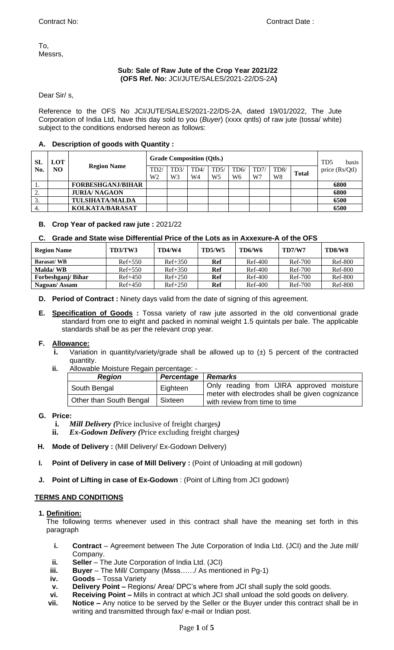To, Messrs,

## **Sub: Sale of Raw Jute of the Crop Year 2021/22 (OFS Ref. No:** JCI/JUTE/SALES/2021-22/DS-2A**)**

Dear Sir/ s,

Reference to the OFS No JCI/JUTE/SALES/2021-22/DS-2A, dated 19/01/2022, The Jute Corporation of India Ltd, have this day sold to you (*Buyer*) (xxxx qntls) of raw jute (tossa/ white) subject to the conditions endorsed hereon as follows:

# **A. Description of goods with Quantity :**

| SL<br>No.        | <b>LOT</b><br>NO. | <b>Region Name</b>       | <b>Grade Composition (Qtls.)</b> |     |                |                |      |      |      | T <sub>D5</sub><br>basis |                |
|------------------|-------------------|--------------------------|----------------------------------|-----|----------------|----------------|------|------|------|--------------------------|----------------|
|                  |                   |                          | TD2/                             | TD3 | TD4/           | TD5/           | TD6/ | TD7/ | TD8/ | <b>Total</b>             | price (Rs/Qtl) |
|                  |                   |                          | W2                               | W3  | W <sub>4</sub> | W <sub>5</sub> | W6   | W7   | W8   |                          |                |
| .,               |                   | <b>FORBESHGANJ/BIHAR</b> |                                  |     |                |                |      |      |      |                          | 6800           |
| ٠.               |                   | <b>JURIA/ NAGAON</b>     |                                  |     |                |                |      |      |      |                          | 6800           |
| $\mathfrak{I}$ . |                   | <b>TULSIHATA/MALDA</b>   |                                  |     |                |                |      |      |      |                          | 6500           |
| 4.               |                   | KOLKATA/BARASAT          |                                  |     |                |                |      |      |      |                          | 6500           |

## **B. Crop Year of packed raw jute :** 2021/22

## **C. Grade and State wise Differential Price of the Lots as in Axxexure-A of the OFS**

| <b>Region Name</b> | TD3/TW3   | <b>TD4/W4</b> | <b>TD5/W5</b> | TD6/W6    | <b>TD7/W7</b> | TD8/W8         |
|--------------------|-----------|---------------|---------------|-----------|---------------|----------------|
| <b>Barasat/WB</b>  | $Ref+550$ | $Ref+350$     | Ref           | $Ref-400$ | Ref-700       | Ref-800        |
| <b>Malda/WB</b>    | $Ref+550$ | $Ref+350$     | Ref           | $Ref-400$ | Ref-700       | Ref-800        |
| Forbeshganj/ Bihar | $Ref+450$ | $Ref+250$     | Ref           | $Ref-400$ | Ref-700       | <b>Ref-800</b> |
| Nagoan/Assam       | $Ref+450$ | $Ref+250$     | Ref           | $Ref-400$ | Ref-700       | <b>Ref-800</b> |

**D. Period of Contract :** Ninety days valid from the date of signing of this agreement.

**E. Specification of Goods :** Tossa variety of raw jute assorted in the old conventional grade standard from one to eight and packed in nominal weight 1.5 quintals per bale. The applicable standards shall be as per the relevant crop year.

## **F. Allowance:**

- **i.** Variation in quantity/variety/grade shall be allowed up to ( $\pm$ ) 5 percent of the contracted quantity.
- **ii.** Allowable Moisture Regain percentage: -

| <b>Region</b>           | Percentage   Remarks |                                                                                              |  |  |  |  |  |
|-------------------------|----------------------|----------------------------------------------------------------------------------------------|--|--|--|--|--|
| South Bengal            | Eighteen             | Only reading from IJIRA approved moisture<br>meter with electrodes shall be given cognizance |  |  |  |  |  |
| Other than South Bengal | Sixteen              | with review from time to time                                                                |  |  |  |  |  |

## **G. Price:**

- **i.** *Mill Delivery (*Price inclusive of freight charges*)*
- **ii.** *Ex-Godown Delivery (*Price excluding freight charges*)*
- **H. Mode of Delivery :** (Mill Delivery/ Ex-Godown Delivery)
- **I. Point of Delivery in case of Mill Delivery :** (Point of Unloading at mill godown)
- **J. Point of Lifting in case of Ex-Godown** : (Point of Lifting from JCI godown)

## **TERMS AND CONDITIONS**

## **1. Definition:**

The following terms whenever used in this contract shall have the meaning set forth in this paragraph

- **i. Contract** Agreement between The Jute Corporation of India Ltd. (JCI) and the Jute mill/ Company.
- **ii. Seller** The Jute Corporation of India Ltd. (JCI)
- **iii. Buyer** The Mill/ Company (Msss……/ As mentioned in Pg-1)
- **iv. Goods** Tossa Variety
- **v. Delivery Point –** Regions/ Area/ DPC's where from JCI shall suply the sold goods.
- 
- **vi. Receiving Point** Mills in contract at which JCI shall unload the sold goods on delivery.<br>**vii. Notice** Any notice to be served by the Seller or the Buver under this contract shall be **Notice –** Any notice to be served by the Seller or the Buyer under this contract shall be in writing and transmitted through fax/ e-mail or Indian post.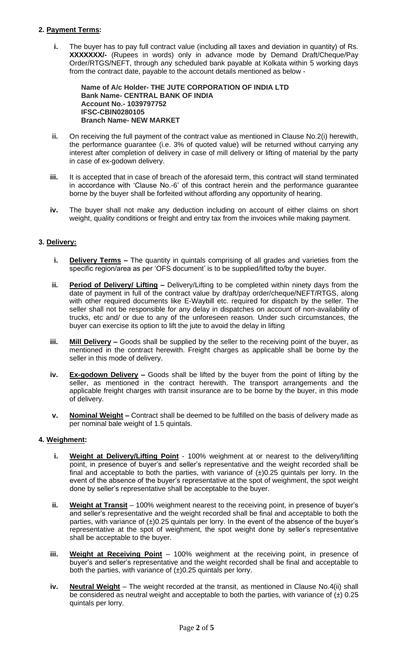## **2. Payment Terms:**

**i.** The buyer has to pay full contract value (including all taxes and deviation in quantity) of Rs. **XXXXXXX/-** (Rupees in words) only in advance mode by Demand Draft/Cheque/Pay Order/RTGS/NEFT, through any scheduled bank payable at Kolkata within 5 working days from the contract date, payable to the account details mentioned as below -

**Name of A/c Holder- THE JUTE CORPORATION OF INDIA LTD Bank Name- CENTRAL BANK OF INDIA Account No.- 1039797752 IFSC-CBIN0280105 Branch Name- NEW MARKET**

- **ii.** On receiving the full payment of the contract value as mentioned in Clause No.2(i) herewith, the performance guarantee (i.e. 3% of quoted value) will be returned without carrying any interest after completion of delivery in case of mill delivery or lifting of material by the party in case of ex-godown delivery.
- **iii.** It is accepted that in case of breach of the aforesaid term, this contract will stand terminated in accordance with 'Clause No.-6' of this contract herein and the performance guarantee borne by the buyer shall be forfeited without affording any opportunity of hearing.
- **iv.** The buyer shall not make any deduction including on account of either claims on short weight, quality conditions or freight and entry tax from the invoices while making payment.

## **3. Delivery:**

- **i. Delivery Terms** The quantity in quintals comprising of all grades and varieties from the specific region/area as per 'OFS document' is to be supplied/lifted to/by the buyer.
- **ii.** Period of Delivery/ Lifting Delivery/Lifting to be completed within ninety days from the date of payment in full of the contract value by draft/pay order/cheque/NEFT/RTGS, along with other required documents like E-Waybill etc. required for dispatch by the seller. The seller shall not be responsible for any delay in dispatches on account of non-availability of trucks, etc and/ or due to any of the unforeseen reason. Under such circumstances, the buyer can exercise its option to lift the jute to avoid the delay in lifting
- **iii. Mill Delivery –** Goods shall be supplied by the seller to the receiving point of the buyer, as mentioned in the contract herewith. Freight charges as applicable shall be borne by the seller in this mode of delivery.
- **iv. Ex-godown Delivery –** Goods shall be lifted by the buyer from the point of lifting by the seller, as mentioned in the contract herewith. The transport arrangements and the applicable freight charges with transit insurance are to be borne by the buyer, in this mode of delivery.
- **v. Nominal Weight –** Contract shall be deemed to be fulfilled on the basis of delivery made as per nominal bale weight of 1.5 quintals.

## **4. Weighment:**

- **i. Weight at Delivery/Lifting Point** 100% weighment at or nearest to the delivery/lifting point, in presence of buyer's and seller's representative and the weight recorded shall be final and acceptable to both the parties, with variance of  $(\pm)0.25$  quintals per lorry. In the event of the absence of the buyer's representative at the spot of weighment, the spot weight done by seller's representative shall be acceptable to the buyer.
- **ii. Weight at Transit** 100% weighment nearest to the receiving point, in presence of buyer's and seller's representative and the weight recorded shall be final and acceptable to both the parties, with variance of  $(\pm)0.25$  quintals per lorry. In the event of the absence of the buyer's representative at the spot of weighment, the spot weight done by seller's representative shall be acceptable to the buyer.
- **iii. Weight at Receiving Point** 100% weighment at the receiving point, in presence of buyer's and seller's representative and the weight recorded shall be final and acceptable to both the parties, with variance of  $(\pm)0.25$  quintals per lorry.
- **iv. Neutral Weight** The weight recorded at the transit, as mentioned in Clause No.4(ii) shall be considered as neutral weight and acceptable to both the parties, with variance of  $(\pm)$  0.25 quintals per lorry.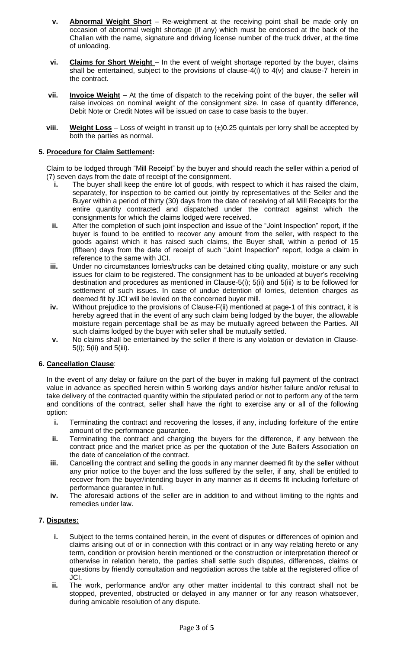- **v. Abnormal Weight Short** Re-weighment at the receiving point shall be made only on occasion of abnormal weight shortage (if any) which must be endorsed at the back of the Challan with the name, signature and driving license number of the truck driver, at the time of unloading.
- **vi. Claims for Short Weight** In the event of weight shortage reported by the buyer, claims shall be entertained, subject to the provisions of clause-4(i) to  $4(v)$  and clause-7 herein in the contract.
- **vii. Invoice Weight** At the time of dispatch to the receiving point of the buyer, the seller will raise invoices on nominal weight of the consignment size. In case of quantity difference, Debit Note or Credit Notes will be issued on case to case basis to the buyer.
- **viii.** Weight Loss Loss of weight in transit up to  $(\pm)0.25$  quintals per lorry shall be accepted by both the parties as normal.

# **5. Procedure for Claim Settlement:**

Claim to be lodged through "Mill Receipt" by the buyer and should reach the seller within a period of (7) seven days from the date of receipt of the consignment.

- **i.** The buyer shall keep the entire lot of goods, with respect to which it has raised the claim, separately, for inspection to be carried out jointly by representatives of the Seller and the Buyer within a period of thirty (30) days from the date of receiving of all Mill Receipts for the entire quantity contracted and dispatched under the contract against which the consignments for which the claims lodged were received.
- **ii.** After the completion of such joint inspection and issue of the "Joint Inspection" report, if the buyer is found to be entitled to recover any amount from the seller, with respect to the goods against which it has raised such claims, the Buyer shall, within a period of 15 (fifteen) days from the date of receipt of such "Joint Inspection" report, lodge a claim in reference to the same with JCI.
- **iii.** Under no circumstances lorries/trucks can be detained citing quality, moisture or any such issues for claim to be registered. The consignment has to be unloaded at buyer's receiving destination and procedures as mentioned in Clause-5(i); 5(ii) and 5(iii) is to be followed for settlement of such issues. In case of undue detention of lorries, detention charges as deemed fit by JCI will be levied on the concerned buyer mill.
- **iv.** Without prejudice to the provisions of Clause-F(ii) mentioned at page-1 of this contract, it is hereby agreed that in the event of any such claim being lodged by the buyer, the allowable moisture regain percentage shall be as may be mutually agreed between the Parties. All such claims lodged by the buyer with seller shall be mutually settled.
- **v.** No claims shall be entertained by the seller if there is any violation or deviation in Clause-5(i); 5(ii) and 5(iii).

## **6. Cancellation Clause**:

In the event of any delay or failure on the part of the buyer in making full payment of the contract value in advance as specified herein within 5 working days and/or his/her failure and/or refusal to take delivery of the contracted quantity within the stipulated period or not to perform any of the term and conditions of the contract, seller shall have the right to exercise any or all of the following option:

- **i.** Terminating the contract and recovering the losses, if any, including forfeiture of the entire amount of the performance gaurantee.
- **ii.** Terminating the contract and charging the buyers for the difference, if any between the contract price and the market price as per the quotation of the Jute Bailers Association on the date of cancelation of the contract.
- **iii.** Cancelling the contract and selling the goods in any manner deemed fit by the seller without any prior notice to the buyer and the loss suffered by the seller, if any, shall be entitled to recover from the buyer/intending buyer in any manner as it deems fit including forfeiture of performance guarantee in full.
- **iv.** The aforesaid actions of the seller are in addition to and without limiting to the rights and remedies under law.

## **7. Disputes:**

- **i.** Subject to the terms contained herein, in the event of disputes or differences of opinion and claims arising out of or in connection with this contract or in any way relating hereto or any term, condition or provision herein mentioned or the construction or interpretation thereof or otherwise in relation hereto, the parties shall settle such disputes, differences, claims or questions by friendly consultation and negotiation across the table at the registered office of JCI.
- **ii.** The work, performance and/or any other matter incidental to this contract shall not be stopped, prevented, obstructed or delayed in any manner or for any reason whatsoever, during amicable resolution of any dispute.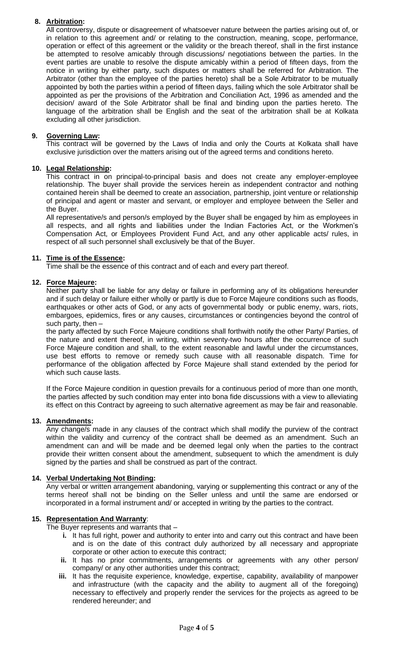# **8. Arbitration:**

All controversy, dispute or disagreement of whatsoever nature between the parties arising out of, or in relation to this agreement and/ or relating to the construction, meaning, scope, performance, operation or effect of this agreement or the validity or the breach thereof, shall in the first instance be attempted to resolve amicably through discussions/ negotiations between the parties. In the event parties are unable to resolve the dispute amicably within a period of fifteen days, from the notice in writing by either party, such disputes or matters shall be referred for Arbitration. The Arbitrator (other than the employee of the parties hereto) shall be a Sole Arbitrator to be mutually appointed by both the parties within a period of fifteen days, failing which the sole Arbitrator shall be appointed as per the provisions of the Arbitration and Conciliation Act, 1996 as amended and the decision/ award of the Sole Arbitrator shall be final and binding upon the parties hereto. The language of the arbitration shall be English and the seat of the arbitration shall be at Kolkata excluding all other jurisdiction.

# **9. Governing Law:**

This contract will be governed by the Laws of India and only the Courts at Kolkata shall have exclusive jurisdiction over the matters arising out of the agreed terms and conditions hereto.

## **10. Legal Relationship:**

This contract in on principal-to-principal basis and does not create any employer-employee relationship. The buyer shall provide the services herein as independent contractor and nothing contained herein shall be deemed to create an association, partnership, joint venture or relationship of principal and agent or master and servant, or employer and employee between the Seller and the Buyer.

All representative/s and person/s employed by the Buyer shall be engaged by him as employees in all respects, and all rights and liabilities under the Indian Factories Act, or the Workmen's Compensation Act, or Employees Provident Fund Act, and any other applicable acts/ rules, in respect of all such personnel shall exclusively be that of the Buyer.

## **11. Time is of the Essence:**

Time shall be the essence of this contract and of each and every part thereof.

## **12. Force Majeure:**

Neither party shall be liable for any delay or failure in performing any of its obligations hereunder and if such delay or failure either wholly or partly is due to Force Majeure conditions such as floods, earthquakes or other acts of God, or any acts of governmental body or public enemy, wars, riots, embargoes, epidemics, fires or any causes, circumstances or contingencies beyond the control of such party, then –

the party affected by such Force Majeure conditions shall forthwith notify the other Party/ Parties, of the nature and extent thereof, in writing, within seventy-two hours after the occurrence of such Force Majeure condition and shall, to the extent reasonable and lawful under the circumstances, use best efforts to remove or remedy such cause with all reasonable dispatch. Time for performance of the obligation affected by Force Majeure shall stand extended by the period for which such cause lasts.

If the Force Majeure condition in question prevails for a continuous period of more than one month, the parties affected by such condition may enter into bona fide discussions with a view to alleviating its effect on this Contract by agreeing to such alternative agreement as may be fair and reasonable.

## **13. Amendments:**

Any change/s made in any clauses of the contract which shall modify the purview of the contract within the validity and currency of the contract shall be deemed as an amendment. Such an amendment can and will be made and be deemed legal only when the parties to the contract provide their written consent about the amendment, subsequent to which the amendment is duly signed by the parties and shall be construed as part of the contract.

## **14. Verbal Undertaking Not Binding:**

Any verbal or written arrangement abandoning, varying or supplementing this contract or any of the terms hereof shall not be binding on the Seller unless and until the same are endorsed or incorporated in a formal instrument and/ or accepted in writing by the parties to the contract.

## **15. Representation And Warranty**:

The Buyer represents and warrants that -

- **i.** It has full right, power and authority to enter into and carry out this contract and have been and is on the date of this contract duly authorized by all necessary and appropriate corporate or other action to execute this contract;
- **ii.** It has no prior commitments, arrangements or agreements with any other person/ company/ or any other authorities under this contract;
- **iii.** It has the requisite experience, knowledge, expertise, capability, availability of manpower and infrastructure (with the capacity and the ability to augment all of the foregoing) necessary to effectively and properly render the services for the projects as agreed to be rendered hereunder; and